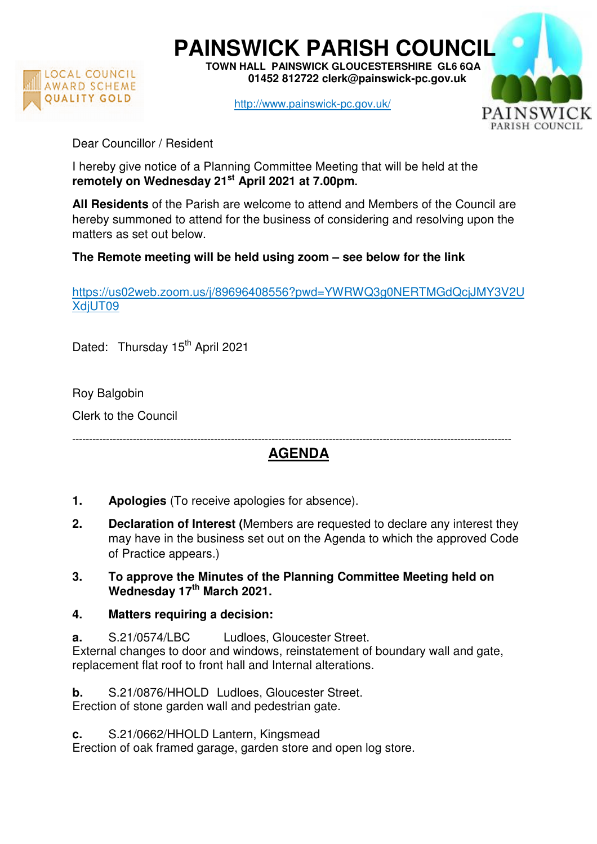

**PAINSWICK PARISH COUNCIL TOWN HALL PAINSWICK GLOUCESTERSHIRE GL6 6QA** 

 **01452 812722 clerk@painswick-pc.gov.uk** 

http://www.painswick-pc.gov.uk/



Dear Councillor / Resident

I hereby give notice of a Planning Committee Meeting that will be held at the **remotely on Wednesday 21st April 2021 at 7.00pm.**

**All Residents** of the Parish are welcome to attend and Members of the Council are hereby summoned to attend for the business of considering and resolving upon the matters as set out below.

**The Remote meeting will be held using zoom – see below for the link** 

https://us02web.zoom.us/j/89696408556?pwd=YWRWQ3g0NERTMGdQcjJMY3V2U XdjUT09

Dated: Thursday 15<sup>th</sup> April 2021

Roy Balgobin

Clerk to the Council

## **AGENDA**

----------------------------------------------------------------------------------------------------------------------------------

- **1. Apologies** (To receive apologies for absence).
- **2. Declaration of Interest (**Members are requested to declare any interest they may have in the business set out on the Agenda to which the approved Code of Practice appears.)
- **3. To approve the Minutes of the Planning Committee Meeting held on Wednesday 17th March 2021.**
- **4. Matters requiring a decision:**
- **a.** S.21/0574/LBC Ludloes, Gloucester Street. External changes to door and windows, reinstatement of boundary wall and gate, replacement flat roof to front hall and Internal alterations.

**b.** S.21/0876/HHOLD Ludloes, Gloucester Street. Erection of stone garden wall and pedestrian gate.

**c.** S.21/0662/HHOLD Lantern, Kingsmead

Erection of oak framed garage, garden store and open log store.